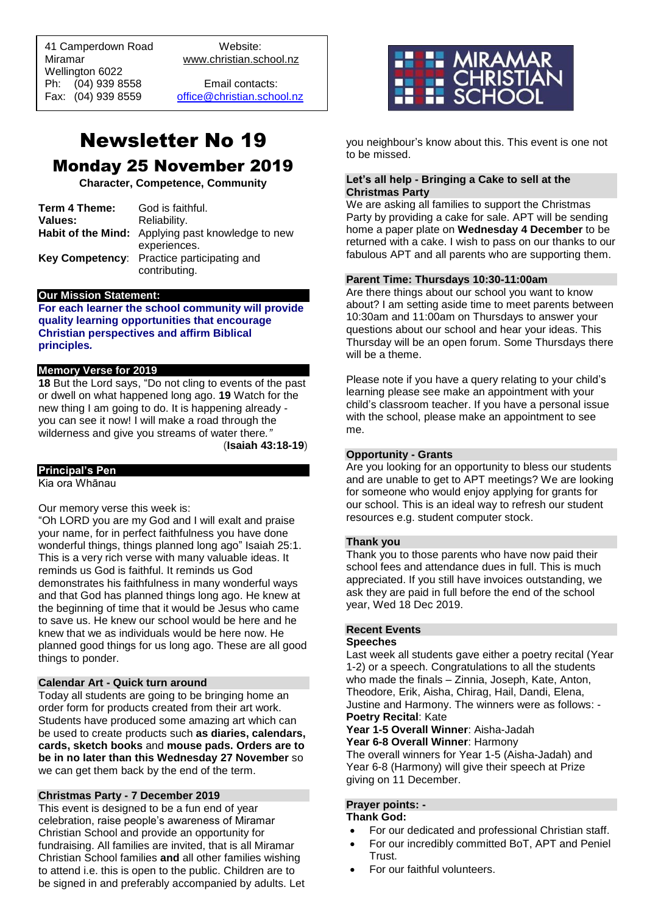41 Camperdown Road Website: Miramar www.christian.school.nz Wellington 6022 Ph: (04) 939 8558 Email contacts:

 $\overline{a}$ 

Fax: (04) 939 8559 [office@christian.school.nz](mailto:office@christian.school.nz)

# Newsletter No 19 Monday 25 November 2019

**Character, Competence, Community**

| Term 4 Theme: | God is faithful.                                         |
|---------------|----------------------------------------------------------|
| Values:       | Reliability.                                             |
|               | <b>Habit of the Mind:</b> Applying past knowledge to new |
|               | experiences.                                             |
|               | Key Competency: Practice participating and               |
|               | contributing.                                            |

#### **Our Mission Statement:**

**For each learner the school community will provide quality learning opportunities that encourage Christian perspectives and affirm Biblical principles***.*

#### **Memory Verse for 2019**

**18** But the Lord says, "Do not cling to events of the past or dwell on what happened long ago. **19** Watch for the new thing I am going to do. It is happening already you can see it now! I will make a road through the wilderness and give you streams of water there*."*

(**Isaiah 43:18-19**)

## **Principal's Pen**

Kia ora Whānau

Our memory verse this week is:

"Oh LORD you are my God and I will exalt and praise your name, for in perfect faithfulness you have done wonderful things, things planned long ago" Isaiah 25:1. This is a very rich verse with many valuable ideas. It reminds us God is faithful. It reminds us God demonstrates his faithfulness in many wonderful ways and that God has planned things long ago. He knew at the beginning of time that it would be Jesus who came to save us. He knew our school would be here and he knew that we as individuals would be here now. He planned good things for us long ago. These are all good things to ponder.

#### **Calendar Art - Quick turn around**

Today all students are going to be bringing home an order form for products created from their art work. Students have produced some amazing art which can be used to create products such **as diaries, calendars, cards, sketch books** and **mouse pads. Orders are to be in no later than this Wednesday 27 November** so we can get them back by the end of the term.

#### **Christmas Party - 7 December 2019**

This event is designed to be a fun end of year celebration, raise people's awareness of Miramar Christian School and provide an opportunity for fundraising. All families are invited, that is all Miramar Christian School families **and** all other families wishing to attend i.e. this is open to the public. Children are to be signed in and preferably accompanied by adults. Let



you neighbour's know about this. This event is one not to be missed.

## **Let's all help - Bringing a Cake to sell at the Christmas Party**

We are asking all families to support the Christmas Party by providing a cake for sale. APT will be sending home a paper plate on **Wednesday 4 December** to be returned with a cake. I wish to pass on our thanks to our fabulous APT and all parents who are supporting them.

#### **Parent Time: Thursdays 10:30-11:00am**

Are there things about our school you want to know about? I am setting aside time to meet parents between 10:30am and 11:00am on Thursdays to answer your questions about our school and hear your ideas. This Thursday will be an open forum. Some Thursdays there will be a theme.

Please note if you have a query relating to your child's learning please see make an appointment with your child's classroom teacher. If you have a personal issue with the school, please make an appointment to see me.

#### **Opportunity - Grants**

Are you looking for an opportunity to bless our students and are unable to get to APT meetings? We are looking for someone who would enjoy applying for grants for our school. This is an ideal way to refresh our student resources e.g. student computer stock.

#### **Thank you**

Thank you to those parents who have now paid their school fees and attendance dues in full. This is much appreciated. If you still have invoices outstanding, we ask they are paid in full before the end of the school year, Wed 18 Dec 2019.

#### **Recent Events**

#### **Speeches**

Last week all students gave either a poetry recital (Year 1-2) or a speech. Congratulations to all the students who made the finals – Zinnia, Joseph, Kate, Anton, Theodore, Erik, Aisha, Chirag, Hail, Dandi, Elena, Justine and Harmony. The winners were as follows: - **Poetry Recital**: Kate

**Year 1-5 Overall Winner**: Aisha-Jadah **Year 6-8 Overall Winner**: Harmony

The overall winners for Year 1-5 (Aisha-Jadah) and Year 6-8 (Harmony) will give their speech at Prize giving on 11 December.

#### **Prayer points: -**

**Thank God:** 

- For our dedicated and professional Christian staff.
- For our incredibly committed BoT, APT and Peniel Trust.
- For our faithful volunteers.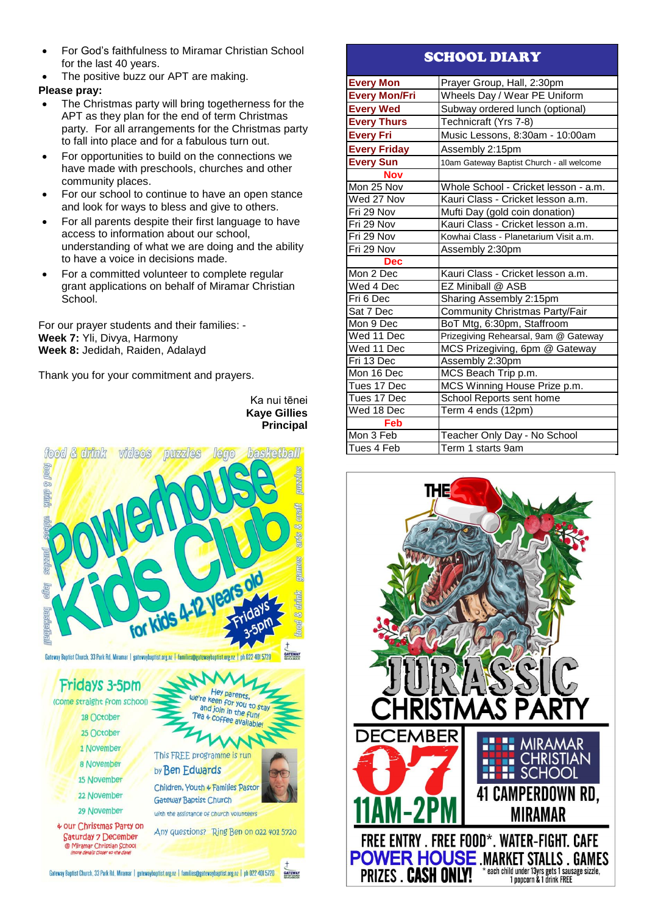- For God's faithfulness to Miramar Christian School for the last 40 years.
- The positive buzz our APT are making.

## **Please pray:**

- The Christmas party will bring togetherness for the APT as they plan for the end of term Christmas party. For all arrangements for the Christmas party to fall into place and for a fabulous turn out.
- For opportunities to build on the connections we have made with preschools, churches and other community places.
- For our school to continue to have an open stance and look for ways to bless and give to others.
- For all parents despite their first language to have access to information about our school, understanding of what we are doing and the ability to have a voice in decisions made.
- For a committed volunteer to complete regular grant applications on behalf of Miramar Christian School.

For our prayer students and their families: - **Week 7:** Yli, Divya, Harmony **Week 8:** Jedidah, Raiden, Adalayd

Thank you for your commitment and prayers.

### Ka nui tēnei **Kaye Gillies Principal**

**GATEWAY** 



# SCHOOL DIARY

| <b>Every Mon</b>     | Prayer Group, Hall, 2:30pm                |
|----------------------|-------------------------------------------|
| <b>Every Mon/Fri</b> | Wheels Day / Wear PE Uniform              |
| <b>Every Wed</b>     | Subway ordered lunch (optional)           |
| <b>Every Thurs</b>   | Technicraft (Yrs 7-8)                     |
| <b>Every Fri</b>     | Music Lessons, 8:30am - 10:00am           |
| <b>Every Friday</b>  | Assembly 2:15pm                           |
| <b>Every Sun</b>     | 10am Gateway Baptist Church - all welcome |
| <b>Nov</b>           |                                           |
| Mon 25 Nov           | Whole School - Cricket lesson - a.m.      |
| Wed 27 Nov           | Kauri Class - Cricket lesson a.m.         |
| Fri 29 Nov           | Mufti Day (gold coin donation)            |
| Fri 29 Nov           | Kauri Class - Cricket lesson a.m.         |
| Fri 29 Nov           | Kowhai Class - Planetarium Visit a.m.     |
| Fri 29 Nov           | Assembly 2:30pm                           |
| Dec                  |                                           |
| Mon 2 Dec            | Kauri Class - Cricket lesson a.m.         |
| Wed 4 Dec            | EZ Miniball @ ASB                         |
| Fri 6 Dec            | Sharing Assembly 2:15pm                   |
| Sat 7 Dec            | Community Christmas Party/Fair            |
| Mon 9 Dec            | BoT Mtg, 6:30pm, Staffroom                |
| Wed 11 Dec           | Prizegiving Rehearsal, 9am @ Gateway      |
| Wed 11 Dec           | MCS Prizegiving, 6pm @ Gateway            |
| Fri 13 Dec           | Assembly 2:30pm                           |
| Mon 16 Dec           | MCS Beach Trip p.m.                       |
| Tues 17 Dec          | MCS Winning House Prize p.m.              |
| Tues 17 Dec          | School Reports sent home                  |
| Wed 18 Dec           | Term 4 ends (12pm)                        |
| Feb                  |                                           |
| Mon 3 Feb            | Teacher Only Day - No School              |
| Tues 4 Feb           | Term 1 starts 9am                         |

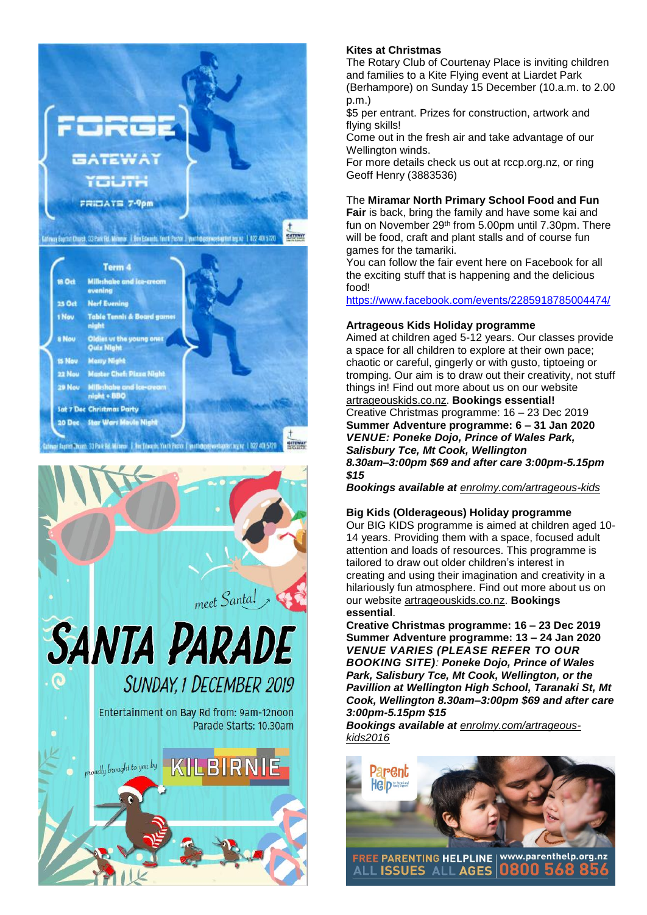

# **Kites at Christmas**

The Rotary Club of Courtenay Place is inviting children and families to a Kite Flying event at Liardet Park (Berhampore) on Sunday 15 December (10.a.m. to 2.00 p.m.)

\$5 per entrant. Prizes for construction, artwork and flying skills!

Come out in the fresh air and take advantage of our Wellington winds.

For more details check us out at rccp.org.nz, or ring Geoff Henry (3883536)

## The **Miramar North Primary School Food and Fun**

**Fair** is back, bring the family and have some kai and fun on November 29th from 5.00pm until 7.30pm. There will be food, craft and plant stalls and of course fun games for the tamariki.

You can follow the fair event here on Facebook for all the exciting stuff that is happening and the delicious food!

<https://www.facebook.com/events/2285918785004474/>

#### **Artrageous Kids Holiday programme**

Aimed at children aged 5-12 years. Our classes provide a space for all children to explore at their own pace; chaotic or careful, gingerly or with gusto, tiptoeing or tromping. Our aim is to draw out their creativity, not stuff things in! Find out more about us on our website [artrageouskids.co.nz.](artrageouskids.co.nz) **Bookings essential!** Creative Christmas programme: 16 – 23 Dec 2019 **Summer Adventure programme: 6 – 31 Jan 2020** *VENUE: Poneke Dojo, Prince of Wales Park, Salisbury Tce, Mt Cook, Wellington 8.30am–3:00pm \$69 and after care 3:00pm-5.15pm \$15*

*Bookings available at <enrolmy.com/artrageous-kids>*

#### **Big Kids (Olderageous) Holiday programme**

Our BIG KIDS programme is aimed at children aged 10- 14 years. Providing them with a space, focused adult attention and loads of resources. This programme is tailored to draw out older children's interest in creating and using their imagination and creativity in a hilariously fun atmosphere. Find out more about us on our website [artrageouskids.co.nz.](artrageouskids.co.nz) **Bookings essential**.

**Creative Christmas programme: 16 – 23 Dec 2019 Summer Adventure programme: 13 – 24 Jan 2020** *VENUE VARIES (PLEASE REFER TO OUR BOOKING SITE): Poneke Dojo, Prince of Wales Park, Salisbury Tce, Mt Cook, Wellington, or the Pavillion at Wellington High School, Taranaki St, Mt Cook, Wellington 8.30am–3:00pm \$69 and after care 3:00pm-5.15pm \$15*

*Bookings available at [enrolmy.com/artrageous](enrolmy.com/artrageous-kids2016)[kids2016](enrolmy.com/artrageous-kids2016)*



FREE PARENTING HELPLINE | www.parenthelp.org.nz **ISSUES ALL AGES**